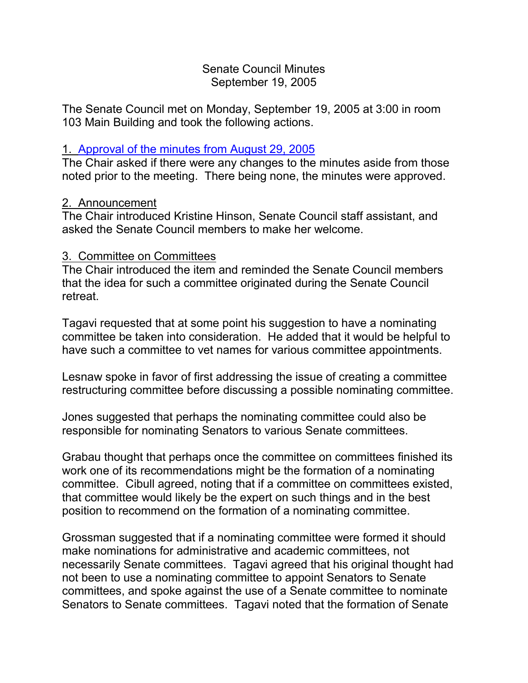### Senate Council Minutes September 19, 2005

The Senate Council met on Monday, September 19, 2005 at 3:00 in room 103 Main Building and took the following actions.

## 1. [Approval of the minutes from](http://www.uky.edu/USC/New/SCMinutes/2005-2006/SC%20Minutes%20August%2029%202005%20TOSC.htm) August 29, 2005

The Chair asked if there were any changes to the minutes aside from those noted prior to the meeting. There being none, the minutes were approved.

### 2. Announcement

The Chair introduced Kristine Hinson, Senate Council staff assistant, and asked the Senate Council members to make her welcome.

### 3. Committee on Committees

The Chair introduced the item and reminded the Senate Council members that the idea for such a committee originated during the Senate Council retreat.

Tagavi requested that at some point his suggestion to have a nominating committee be taken into consideration. He added that it would be helpful to have such a committee to vet names for various committee appointments.

Lesnaw spoke in favor of first addressing the issue of creating a committee restructuring committee before discussing a possible nominating committee.

Jones suggested that perhaps the nominating committee could also be responsible for nominating Senators to various Senate committees.

Grabau thought that perhaps once the committee on committees finished its work one of its recommendations might be the formation of a nominating committee. Cibull agreed, noting that if a committee on committees existed, that committee would likely be the expert on such things and in the best position to recommend on the formation of a nominating committee.

Grossman suggested that if a nominating committee were formed it should make nominations for administrative and academic committees, not necessarily Senate committees. Tagavi agreed that his original thought had not been to use a nominating committee to appoint Senators to Senate committees, and spoke against the use of a Senate committee to nominate Senators to Senate committees. Tagavi noted that the formation of Senate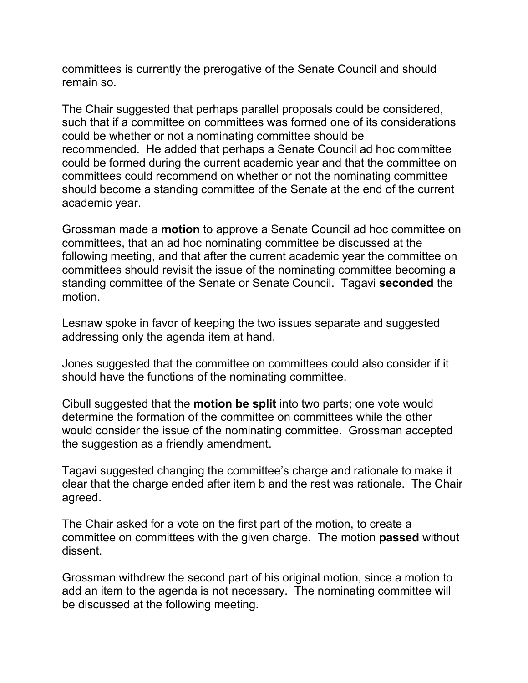committees is currently the prerogative of the Senate Council and should remain so.

The Chair suggested that perhaps parallel proposals could be considered, such that if a committee on committees was formed one of its considerations could be whether or not a nominating committee should be recommended. He added that perhaps a Senate Council ad hoc committee could be formed during the current academic year and that the committee on committees could recommend on whether or not the nominating committee should become a standing committee of the Senate at the end of the current academic year.

Grossman made a **motion** to approve a Senate Council ad hoc committee on committees, that an ad hoc nominating committee be discussed at the following meeting, and that after the current academic year the committee on committees should revisit the issue of the nominating committee becoming a standing committee of the Senate or Senate Council. Tagavi **seconded** the motion.

Lesnaw spoke in favor of keeping the two issues separate and suggested addressing only the agenda item at hand.

Jones suggested that the committee on committees could also consider if it should have the functions of the nominating committee.

Cibull suggested that the **motion be split** into two parts; one vote would determine the formation of the committee on committees while the other would consider the issue of the nominating committee. Grossman accepted the suggestion as a friendly amendment.

Tagavi suggested changing the committee's charge and rationale to make it clear that the charge ended after item b and the rest was rationale. The Chair agreed.

The Chair asked for a vote on the first part of the motion, to create a committee on committees with the given charge. The motion **passed** without dissent.

Grossman withdrew the second part of his original motion, since a motion to add an item to the agenda is not necessary. The nominating committee will be discussed at the following meeting.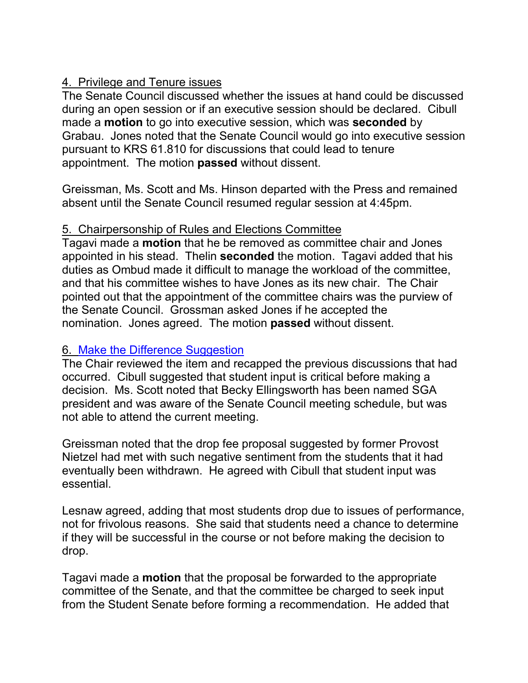# 4. Privilege and Tenure issues

The Senate Council discussed whether the issues at hand could be discussed during an open session or if an executive session should be declared. Cibull made a **motion** to go into executive session, which was **seconded** by Grabau. Jones noted that the Senate Council would go into executive session pursuant to KRS 61.810 for discussions that could lead to tenure appointment. The motion **passed** without dissent.

Greissman, Ms. Scott and Ms. Hinson departed with the Press and remained absent until the Senate Council resumed regular session at 4:45pm.

# 5. Chairpersonship of Rules and Elections Committee

Tagavi made a **motion** that he be removed as committee chair and Jones appointed in his stead. Thelin **seconded** the motion. Tagavi added that his duties as Ombud made it difficult to manage the workload of the committee, and that his committee wishes to have Jones as its new chair. The Chair pointed out that the appointment of the committee chairs was the purview of the Senate Council. Grossman asked Jones if he accepted the nomination. Jones agreed. The motion **passed** without dissent.

# 6. [Make the Difference Suggestion](http://www.uky.edu/USC/New/SCAgendas/20050822/167-Suggestion%20(2).doc)

The Chair reviewed the item and recapped the previous discussions that had occurred. Cibull suggested that student input is critical before making a decision. Ms. Scott noted that Becky Ellingsworth has been named SGA president and was aware of the Senate Council meeting schedule, but was not able to attend the current meeting.

Greissman noted that the drop fee proposal suggested by former Provost Nietzel had met with such negative sentiment from the students that it had eventually been withdrawn. He agreed with Cibull that student input was essential.

Lesnaw agreed, adding that most students drop due to issues of performance, not for frivolous reasons. She said that students need a chance to determine if they will be successful in the course or not before making the decision to drop.

Tagavi made a **motion** that the proposal be forwarded to the appropriate committee of the Senate, and that the committee be charged to seek input from the Student Senate before forming a recommendation. He added that